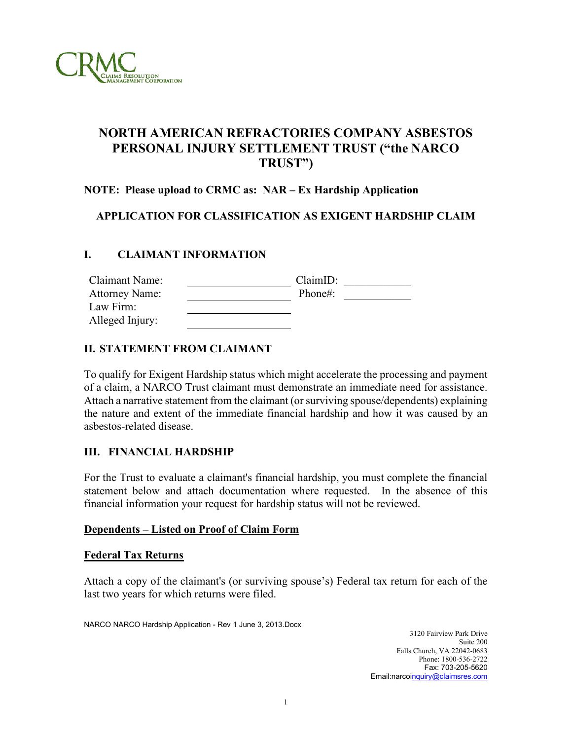

# **NORTH AMERICAN REFRACTORIES COMPANY ASBESTOS PERSONAL INJURY SETTLEMENT TRUST ("the NARCO TRUST")**

## **NOTE: Please upload to CRMC as: NAR – Ex Hardship Application**

## **APPLICATION FOR CLASSIFICATION AS EXIGENT HARDSHIP CLAIM**

## **I. CLAIMANT INFORMATION**

| Claimant Name:        | ClaimID:  |  |
|-----------------------|-----------|--|
| <b>Attorney Name:</b> | $Phone$ : |  |
| Law Firm:             |           |  |
| Alleged Injury:       |           |  |

## **II. STATEMENT FROM CLAIMANT**

To qualify for Exigent Hardship status which might accelerate the processing and payment of a claim, a NARCO Trust claimant must demonstrate an immediate need for assistance. Attach a narrative statement from the claimant (or surviving spouse/dependents) explaining the nature and extent of the immediate financial hardship and how it was caused by an asbestos-related disease.

## **III. FINANCIAL HARDSHIP**

For the Trust to evaluate a claimant's financial hardship, you must complete the financial statement below and attach documentation where requested. In the absence of this financial information your request for hardship status will not be reviewed.

## **Dependents – Listed on Proof of Claim Form**

#### **Federal Tax Returns**

Attach a copy of the claimant's (or surviving spouse's) Federal tax return for each of the last two years for which returns were filed.

NARCO NARCO Hardship Application - Rev 1 June 3, 2013.Docx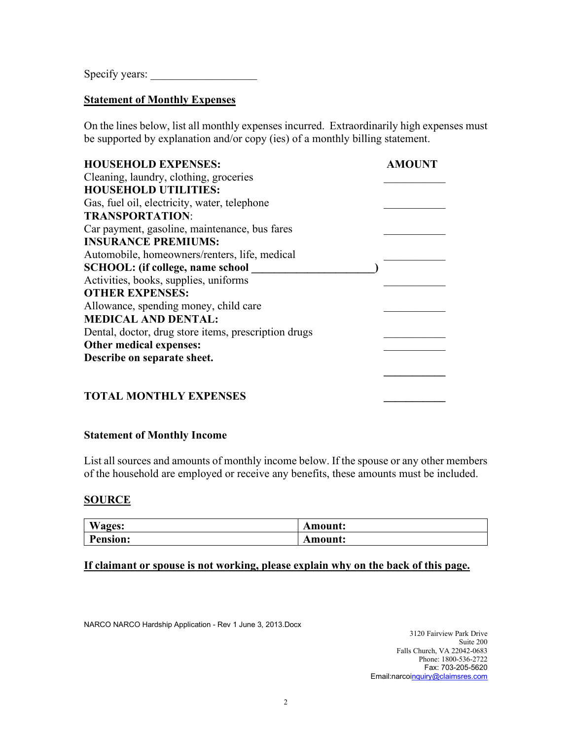Specify years:

## **Statement of Monthly Expenses**

On the lines below, list all monthly expenses incurred. Extraordinarily high expenses must be supported by explanation and/or copy (ies) of a monthly billing statement.

| <b>HOUSEHOLD EXPENSES:</b>                           | <b>AMOUNT</b> |
|------------------------------------------------------|---------------|
| Cleaning, laundry, clothing, groceries               |               |
| <b>HOUSEHOLD UTILITIES:</b>                          |               |
| Gas, fuel oil, electricity, water, telephone         |               |
| <b>TRANSPORTATION:</b>                               |               |
| Car payment, gasoline, maintenance, bus fares        |               |
| <b>INSURANCE PREMIUMS:</b>                           |               |
| Automobile, homeowners/renters, life, medical        |               |
| <b>SCHOOL:</b> (if college, name school              |               |
| Activities, books, supplies, uniforms                |               |
| <b>OTHER EXPENSES:</b>                               |               |
| Allowance, spending money, child care                |               |
| <b>MEDICAL AND DENTAL:</b>                           |               |
| Dental, doctor, drug store items, prescription drugs |               |
| Other medical expenses:                              |               |
| Describe on separate sheet.                          |               |
|                                                      |               |

# **TOTAL MONTHLY EXPENSES \_\_\_\_\_\_\_\_\_\_\_**

## **Statement of Monthly Income**

List all sources and amounts of monthly income below. If the spouse or any other members of the household are employed or receive any benefits, these amounts must be included.

#### **SOURCE**

| $\mathbf{v}$<br>Wages: | Amount: |
|------------------------|---------|
| <b>Pension:</b>        | Amount: |

## **If claimant or spouse is not working, please explain why on the back of this page.**

NARCO NARCO Hardship Application - Rev 1 June 3, 2013.Docx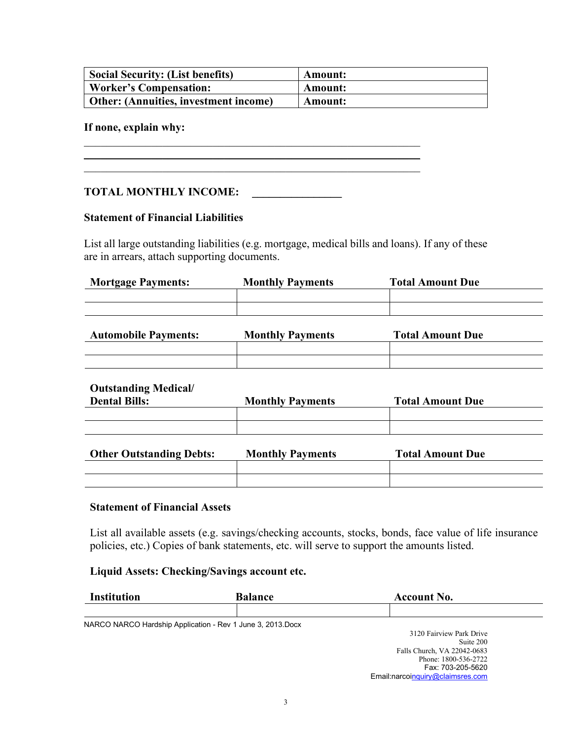| <b>Social Security: (List benefits)</b>      | Amount:        |
|----------------------------------------------|----------------|
| <b>Worker's Compensation:</b>                | <b>Amount:</b> |
| <b>Other: (Annuities, investment income)</b> | <b>Amount:</b> |

### **If none, explain why:**

# **TOTAL MONTHLY INCOME: \_\_\_\_\_\_\_\_\_\_\_\_\_\_\_\_**

#### **Statement of Financial Liabilities**

List all large outstanding liabilities (e.g. mortgage, medical bills and loans). If any of these are in arrears, attach supporting documents.

| <b>Mortgage Payments:</b> | <b>Monthly Payments</b> | <b>Total Amount Due</b> |
|---------------------------|-------------------------|-------------------------|
|                           |                         |                         |
|                           |                         |                         |

| <b>Automobile Payments:</b> | <b>Monthly Payments</b> | <b>Total Amount Due</b> |
|-----------------------------|-------------------------|-------------------------|
|                             |                         |                         |
|                             |                         |                         |

## **Outstanding Medical/**

| <b>Dental Bills:</b> | <b>Monthly Payments</b> | <b>Total Amount Due</b> |
|----------------------|-------------------------|-------------------------|
|                      |                         |                         |
|                      |                         |                         |

| <b>Other Outstanding Debts:</b> | <b>Monthly Payments</b> | <b>Total Amount Due</b> |
|---------------------------------|-------------------------|-------------------------|
|                                 |                         |                         |
|                                 |                         |                         |

### **Statement of Financial Assets**

List all available assets (e.g. savings/checking accounts, stocks, bonds, face value of life insurance policies, etc.) Copies of bank statements, etc. will serve to support the amounts listed.

#### **Liquid Assets: Checking/Savings account etc.**

| <b>Institution</b> | <b>Balance</b>                                              | <b>Account No.</b>               |
|--------------------|-------------------------------------------------------------|----------------------------------|
|                    |                                                             |                                  |
|                    | NARCO NARCO Hardship Application - Rev 1 June 3, 2013. Docx |                                  |
|                    |                                                             | 3120 Fairview Park Drive         |
|                    |                                                             | Suite 200                        |
|                    |                                                             | Falls Church, VA 22042-0683      |
|                    |                                                             | Phone: 1800-536-2722             |
|                    |                                                             | Fax: 703-205-5620                |
|                    |                                                             | Email:narcoinquiry@claimsres.com |